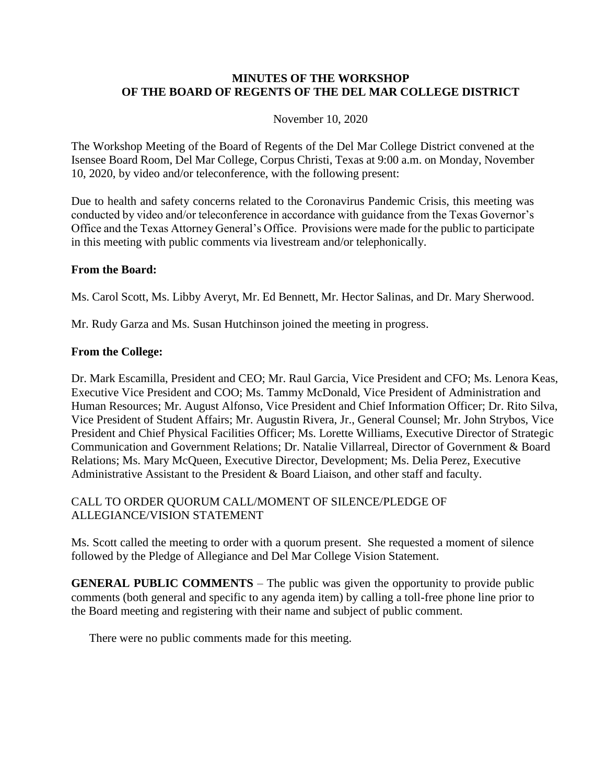## **MINUTES OF THE WORKSHOP OF THE BOARD OF REGENTS OF THE DEL MAR COLLEGE DISTRICT**

#### November 10, 2020

The Workshop Meeting of the Board of Regents of the Del Mar College District convened at the Isensee Board Room, Del Mar College, Corpus Christi, Texas at 9:00 a.m. on Monday, November 10, 2020, by video and/or teleconference, with the following present:

Due to health and safety concerns related to the Coronavirus Pandemic Crisis, this meeting was conducted by video and/or teleconference in accordance with guidance from the Texas Governor's Office and the Texas Attorney General's Office. Provisions were made for the public to participate in this meeting with public comments via livestream and/or telephonically.

#### **From the Board:**

Ms. Carol Scott, Ms. Libby Averyt, Mr. Ed Bennett, Mr. Hector Salinas, and Dr. Mary Sherwood.

Mr. Rudy Garza and Ms. Susan Hutchinson joined the meeting in progress.

#### **From the College:**

Dr. Mark Escamilla, President and CEO; Mr. Raul Garcia, Vice President and CFO; Ms. Lenora Keas, Executive Vice President and COO; Ms. Tammy McDonald, Vice President of Administration and Human Resources; Mr. August Alfonso, Vice President and Chief Information Officer; Dr. Rito Silva, Vice President of Student Affairs; Mr. Augustin Rivera, Jr., General Counsel; Mr. John Strybos, Vice President and Chief Physical Facilities Officer; Ms. Lorette Williams, Executive Director of Strategic Communication and Government Relations; Dr. Natalie Villarreal, Director of Government & Board Relations; Ms. Mary McQueen, Executive Director, Development; Ms. Delia Perez, Executive Administrative Assistant to the President & Board Liaison, and other staff and faculty.

## CALL TO ORDER QUORUM CALL/MOMENT OF SILENCE/PLEDGE OF ALLEGIANCE/VISION STATEMENT

Ms. Scott called the meeting to order with a quorum present. She requested a moment of silence followed by the Pledge of Allegiance and Del Mar College Vision Statement.

**GENERAL PUBLIC COMMENTS** – The public was given the opportunity to provide public comments (both general and specific to any agenda item) by calling a toll-free phone line prior to the Board meeting and registering with their name and subject of public comment.

There were no public comments made for this meeting.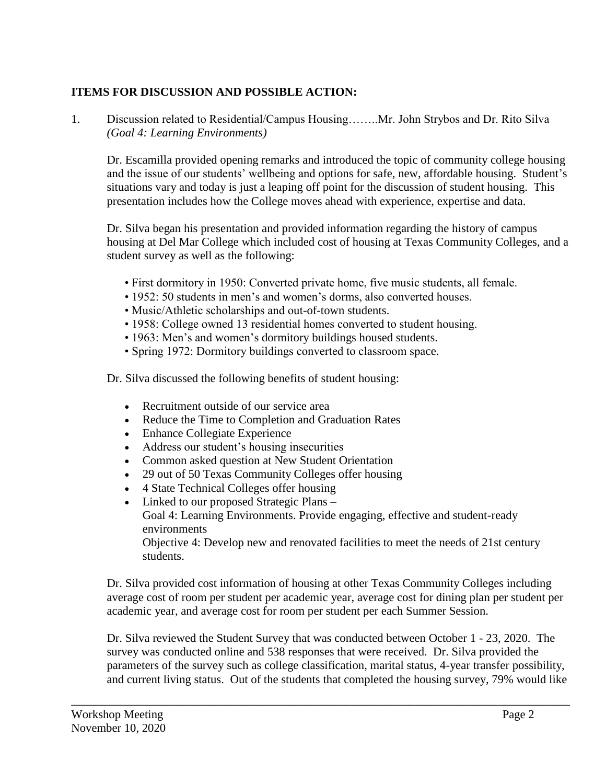# **ITEMS FOR DISCUSSION AND POSSIBLE ACTION:**

1. Discussion related to Residential/Campus Housing……..Mr. John Strybos and Dr. Rito Silva *(Goal 4: Learning Environments)*

Dr. Escamilla provided opening remarks and introduced the topic of community college housing and the issue of our students' wellbeing and options for safe, new, affordable housing. Student's situations vary and today is just a leaping off point for the discussion of student housing. This presentation includes how the College moves ahead with experience, expertise and data.

Dr. Silva began his presentation and provided information regarding the history of campus housing at Del Mar College which included cost of housing at Texas Community Colleges, and a student survey as well as the following:

- First dormitory in 1950: Converted private home, five music students, all female.
- 1952: 50 students in men's and women's dorms, also converted houses.
- Music/Athletic scholarships and out-of-town students.
- 1958: College owned 13 residential homes converted to student housing.
- 1963: Men's and women's dormitory buildings housed students.
- Spring 1972: Dormitory buildings converted to classroom space.

Dr. Silva discussed the following benefits of student housing:

- Recruitment outside of our service area
- Reduce the Time to Completion and Graduation Rates
- Enhance Collegiate Experience
- Address our student's housing insecurities
- Common asked question at New Student Orientation
- 29 out of 50 Texas Community Colleges offer housing
- 4 State Technical Colleges offer housing
- Linked to our proposed Strategic Plans Goal 4: Learning Environments. Provide engaging, effective and student-ready environments Objective 4: Develop new and renovated facilities to meet the needs of 21st century students.

Dr. Silva provided cost information of housing at other Texas Community Colleges including average cost of room per student per academic year, average cost for dining plan per student per academic year, and average cost for room per student per each Summer Session.

Dr. Silva reviewed the Student Survey that was conducted between October 1 - 23, 2020. The survey was conducted online and 538 responses that were received. Dr. Silva provided the parameters of the survey such as college classification, marital status, 4-year transfer possibility, and current living status. Out of the students that completed the housing survey, 79% would like

\_\_\_\_\_\_\_\_\_\_\_\_\_\_\_\_\_\_\_\_\_\_\_\_\_\_\_\_\_\_\_\_\_\_\_\_\_\_\_\_\_\_\_\_\_\_\_\_\_\_\_\_\_\_\_\_\_\_\_\_\_\_\_\_\_\_\_\_\_\_\_\_\_\_\_\_\_\_\_\_\_\_\_\_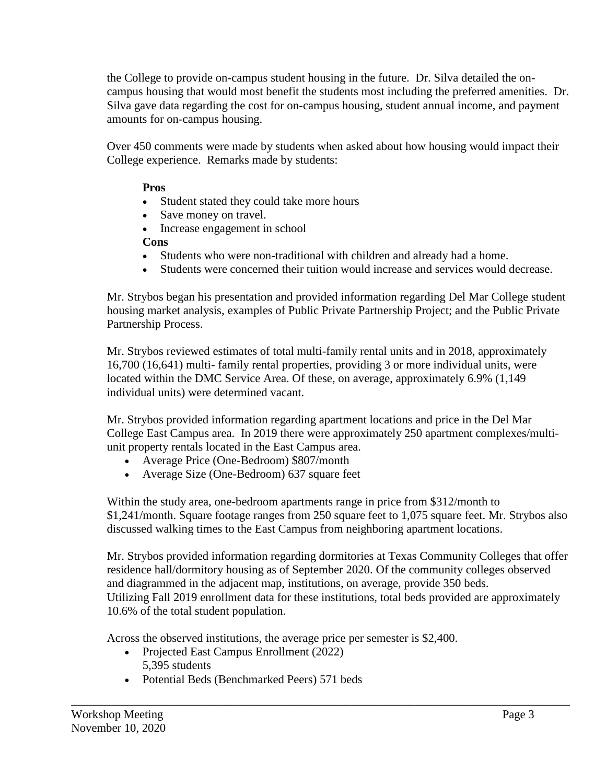the College to provide on-campus student housing in the future. Dr. Silva detailed the oncampus housing that would most benefit the students most including the preferred amenities. Dr. Silva gave data regarding the cost for on-campus housing, student annual income, and payment amounts for on-campus housing.

Over 450 comments were made by students when asked about how housing would impact their College experience. Remarks made by students:

# **Pros**

- Student stated they could take more hours
- Save money on travel.
- Increase engagement in school

## **Cons**

- Students who were non-traditional with children and already had a home.
- Students were concerned their tuition would increase and services would decrease.

Mr. Strybos began his presentation and provided information regarding Del Mar College student housing market analysis, examples of Public Private Partnership Project; and the Public Private Partnership Process.

Mr. Strybos reviewed estimates of total multi-family rental units and in 2018, approximately 16,700 (16,641) multi- family rental properties, providing 3 or more individual units, were located within the DMC Service Area. Of these, on average, approximately 6.9% (1,149 individual units) were determined vacant.

Mr. Strybos provided information regarding apartment locations and price in the Del Mar College East Campus area. In 2019 there were approximately 250 apartment complexes/multiunit property rentals located in the East Campus area.

- Average Price (One-Bedroom) \$807/month
- Average Size (One-Bedroom) 637 square feet

Within the study area, one-bedroom apartments range in price from \$312/month to \$1,241/month. Square footage ranges from 250 square feet to 1,075 square feet. Mr. Strybos also discussed walking times to the East Campus from neighboring apartment locations.

Mr. Strybos provided information regarding dormitories at Texas Community Colleges that offer residence hall/dormitory housing as of September 2020. Of the community colleges observed and diagrammed in the adjacent map, institutions, on average, provide 350 beds. Utilizing Fall 2019 enrollment data for these institutions, total beds provided are approximately 10.6% of the total student population.

\_\_\_\_\_\_\_\_\_\_\_\_\_\_\_\_\_\_\_\_\_\_\_\_\_\_\_\_\_\_\_\_\_\_\_\_\_\_\_\_\_\_\_\_\_\_\_\_\_\_\_\_\_\_\_\_\_\_\_\_\_\_\_\_\_\_\_\_\_\_\_\_\_\_\_\_\_\_\_\_\_\_\_\_

Across the observed institutions, the average price per semester is \$2,400.

- Projected East Campus Enrollment (2022) 5,395 students
- Potential Beds (Benchmarked Peers) 571 beds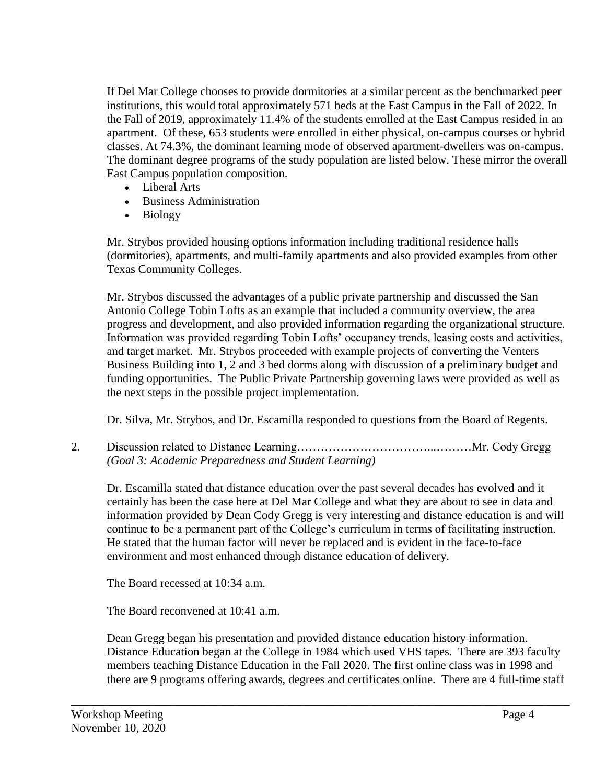If Del Mar College chooses to provide dormitories at a similar percent as the benchmarked peer institutions, this would total approximately 571 beds at the East Campus in the Fall of 2022. In the Fall of 2019, approximately 11.4% of the students enrolled at the East Campus resided in an apartment. Of these, 653 students were enrolled in either physical, on-campus courses or hybrid classes. At 74.3%, the dominant learning mode of observed apartment-dwellers was on-campus. The dominant degree programs of the study population are listed below. These mirror the overall East Campus population composition.

- Liberal Arts
- Business Administration
- Biology

Mr. Strybos provided housing options information including traditional residence halls (dormitories), apartments, and multi-family apartments and also provided examples from other Texas Community Colleges.

Mr. Strybos discussed the advantages of a public private partnership and discussed the San Antonio College Tobin Lofts as an example that included a community overview, the area progress and development, and also provided information regarding the organizational structure. Information was provided regarding Tobin Lofts' occupancy trends, leasing costs and activities, and target market. Mr. Strybos proceeded with example projects of converting the Venters Business Building into 1, 2 and 3 bed dorms along with discussion of a preliminary budget and funding opportunities. The Public Private Partnership governing laws were provided as well as the next steps in the possible project implementation.

Dr. Silva, Mr. Strybos, and Dr. Escamilla responded to questions from the Board of Regents.

2. Discussion related to Distance Learning……………………………...………Mr. Cody Gregg *(Goal 3: Academic Preparedness and Student Learning)*

Dr. Escamilla stated that distance education over the past several decades has evolved and it certainly has been the case here at Del Mar College and what they are about to see in data and information provided by Dean Cody Gregg is very interesting and distance education is and will continue to be a permanent part of the College's curriculum in terms of facilitating instruction. He stated that the human factor will never be replaced and is evident in the face-to-face environment and most enhanced through distance education of delivery.

The Board recessed at 10:34 a.m.

The Board reconvened at 10:41 a.m.

Dean Gregg began his presentation and provided distance education history information. Distance Education began at the College in 1984 which used VHS tapes. There are 393 faculty members teaching Distance Education in the Fall 2020. The first online class was in 1998 and there are 9 programs offering awards, degrees and certificates online. There are 4 full-time staff

\_\_\_\_\_\_\_\_\_\_\_\_\_\_\_\_\_\_\_\_\_\_\_\_\_\_\_\_\_\_\_\_\_\_\_\_\_\_\_\_\_\_\_\_\_\_\_\_\_\_\_\_\_\_\_\_\_\_\_\_\_\_\_\_\_\_\_\_\_\_\_\_\_\_\_\_\_\_\_\_\_\_\_\_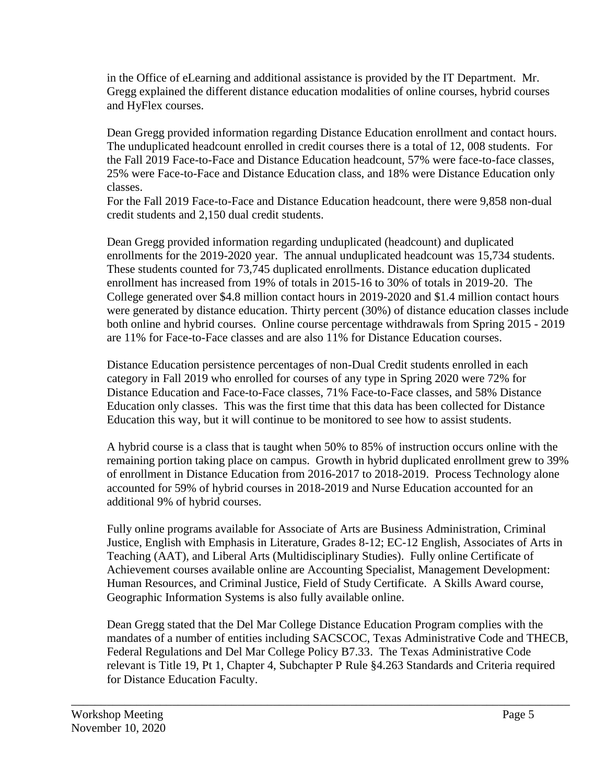in the Office of eLearning and additional assistance is provided by the IT Department. Mr. Gregg explained the different distance education modalities of online courses, hybrid courses and HyFlex courses.

Dean Gregg provided information regarding Distance Education enrollment and contact hours. The unduplicated headcount enrolled in credit courses there is a total of 12, 008 students. For the Fall 2019 Face-to-Face and Distance Education headcount, 57% were face-to-face classes, 25% were Face-to-Face and Distance Education class, and 18% were Distance Education only classes.

For the Fall 2019 Face-to-Face and Distance Education headcount, there were 9,858 non-dual credit students and 2,150 dual credit students.

Dean Gregg provided information regarding unduplicated (headcount) and duplicated enrollments for the 2019-2020 year. The annual unduplicated headcount was 15,734 students. These students counted for 73,745 duplicated enrollments. Distance education duplicated enrollment has increased from 19% of totals in 2015-16 to 30% of totals in 2019-20. The College generated over \$4.8 million contact hours in 2019-2020 and \$1.4 million contact hours were generated by distance education. Thirty percent (30%) of distance education classes include both online and hybrid courses. Online course percentage withdrawals from Spring 2015 - 2019 are 11% for Face-to-Face classes and are also 11% for Distance Education courses.

Distance Education persistence percentages of non-Dual Credit students enrolled in each category in Fall 2019 who enrolled for courses of any type in Spring 2020 were 72% for Distance Education and Face-to-Face classes, 71% Face-to-Face classes, and 58% Distance Education only classes. This was the first time that this data has been collected for Distance Education this way, but it will continue to be monitored to see how to assist students.

A hybrid course is a class that is taught when 50% to 85% of instruction occurs online with the remaining portion taking place on campus. Growth in hybrid duplicated enrollment grew to 39% of enrollment in Distance Education from 2016-2017 to 2018-2019. Process Technology alone accounted for 59% of hybrid courses in 2018-2019 and Nurse Education accounted for an additional 9% of hybrid courses.

Fully online programs available for Associate of Arts are Business Administration, Criminal Justice, English with Emphasis in Literature, Grades 8-12; EC-12 English, Associates of Arts in Teaching (AAT), and Liberal Arts (Multidisciplinary Studies). Fully online Certificate of Achievement courses available online are Accounting Specialist, Management Development: Human Resources, and Criminal Justice, Field of Study Certificate. A Skills Award course, Geographic Information Systems is also fully available online.

Dean Gregg stated that the Del Mar College Distance Education Program complies with the mandates of a number of entities including SACSCOC, Texas Administrative Code and THECB, Federal Regulations and Del Mar College Policy B7.33. The Texas Administrative Code relevant is Title 19, Pt 1, Chapter 4, Subchapter P Rule §4.263 Standards and Criteria required for Distance Education Faculty.

\_\_\_\_\_\_\_\_\_\_\_\_\_\_\_\_\_\_\_\_\_\_\_\_\_\_\_\_\_\_\_\_\_\_\_\_\_\_\_\_\_\_\_\_\_\_\_\_\_\_\_\_\_\_\_\_\_\_\_\_\_\_\_\_\_\_\_\_\_\_\_\_\_\_\_\_\_\_\_\_\_\_\_\_